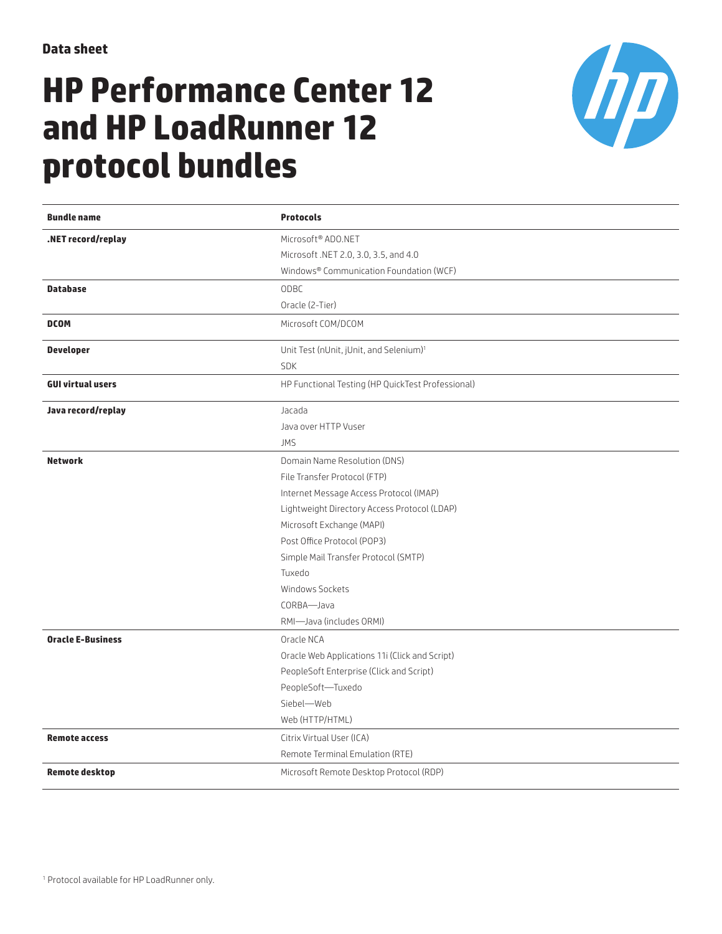## **HP Performance Center 12 and HP LoadRunner 12 protocol bundles**



| <b>Bundle name</b>       | <b>Protocols</b>                                    |
|--------------------------|-----------------------------------------------------|
| .NET record/replay       | Microsoft® ADO.NET                                  |
|                          | Microsoft .NET 2.0, 3.0, 3.5, and 4.0               |
|                          | Windows® Communication Foundation (WCF)             |
| <b>Database</b>          | ODBC                                                |
|                          | Oracle (2-Tier)                                     |
| <b>DCOM</b>              | Microsoft COM/DCOM                                  |
| <b>Developer</b>         | Unit Test (nUnit, jUnit, and Selenium) <sup>1</sup> |
|                          | <b>SDK</b>                                          |
| <b>GUI virtual users</b> | HP Functional Testing (HP QuickTest Professional)   |
| Java record/replay       | Jacada                                              |
|                          | Java over HTTP Vuser                                |
|                          | <b>JMS</b>                                          |
| <b>Network</b>           | Domain Name Resolution (DNS)                        |
|                          | File Transfer Protocol (FTP)                        |
|                          | Internet Message Access Protocol (IMAP)             |
|                          | Lightweight Directory Access Protocol (LDAP)        |
|                          | Microsoft Exchange (MAPI)                           |
|                          | Post Office Protocol (POP3)                         |
|                          | Simple Mail Transfer Protocol (SMTP)                |
|                          | Tuxedo                                              |
|                          | Windows Sockets                                     |
|                          | CORBA-Java                                          |
|                          | RMI-Java (includes ORMI)                            |
| <b>Oracle E-Business</b> | Oracle NCA                                          |
|                          | Oracle Web Applications 11i (Click and Script)      |
|                          | PeopleSoft Enterprise (Click and Script)            |
|                          | PeopleSoft-Tuxedo                                   |
|                          | Siebel-Web                                          |
|                          | Web (HTTP/HTML)                                     |
| <b>Remote access</b>     | Citrix Virtual User (ICA)                           |
|                          | Remote Terminal Emulation (RTE)                     |
| <b>Remote desktop</b>    | Microsoft Remote Desktop Protocol (RDP)             |